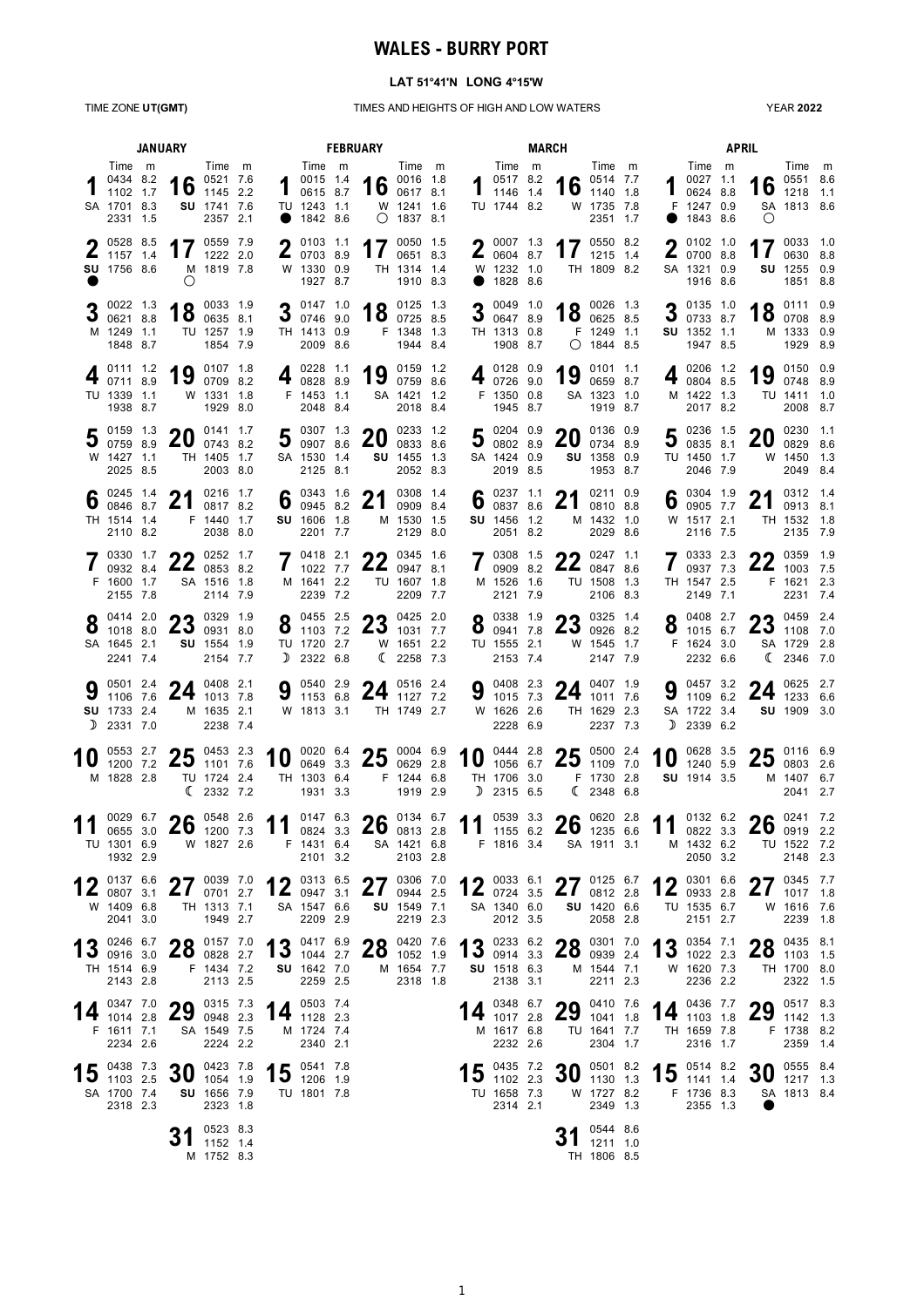# **WALES - BURRY PORT**

### **LAT 51°41'N LONG 4°15'W**

### TIME ZONE **UT(GMT)** TIMES AND HEIGHTS OF HIGH AND LOW WATERS

YEAR **2022**

| <b>JANUARY</b> |                                                           |  |                                                                |                                                       |                                                                                                | <b>FEBRUARY</b>                                             |  | <b>MARCH</b>                                                                   |                                                                 |  |                                                                         | <b>APRIL</b> |                                                                |                                                 |              |                                                                     |  |                                          |                                                                 |  |
|----------------|-----------------------------------------------------------|--|----------------------------------------------------------------|-------------------------------------------------------|------------------------------------------------------------------------------------------------|-------------------------------------------------------------|--|--------------------------------------------------------------------------------|-----------------------------------------------------------------|--|-------------------------------------------------------------------------|--------------|----------------------------------------------------------------|-------------------------------------------------|--------------|---------------------------------------------------------------------|--|------------------------------------------|-----------------------------------------------------------------|--|
|                | Time m<br>0434 8.2<br>1102 1.7<br>SA 1701 8.3<br>2331 1.5 |  |                                                                | Time m<br>16 $^{0521}$ 7.6<br>SU 1741 7.6<br>2357 2.1 | $\mathbf 1$                                                                                    | Time m<br>0015 1.4<br>0615 8.7<br>TU 1243 1.1<br>● 1842 8.6 |  |                                                                                | Time m<br>16 $^{0016}$ 1.8<br>W 1241 1.6<br>$\bigcirc$ 1837 8.1 |  | Time m<br>$1^{0517}$ 8.2<br>1146 1.4<br>TU 1744 8.2                     |              | 16 $^{0514}$ 7.7                                               | Time m<br>W 1735 7.8<br>2351 1.7                |              | Time m<br>400271.1<br>0624 8.8<br>F 1247 0.9<br>1843 8.6            |  | $\bigcirc$                               | Time m<br>16 $^{0551}$ 8.6<br>SA 1813 8.6                       |  |
|                | 205288.5<br>$\frac{1}{1157}$ 1.4<br>SU 1756 8.6           |  | O                                                              | 17 $^{0559}$ 7.9<br>M 1819 7.8                        |                                                                                                | $2^{0103}$ 1.1<br>0703 8.9<br>W 1330 0.9<br>1927 8.7        |  | 17                                                                             | 0050 1.5<br>0651 8.3<br>TH 1314 1.4<br>1910 8.3                 |  | $\bullet$ 0007 1.3<br>$\frac{2}{10004}$ 8.7<br>W 1232 1.0<br>● 1828 8.6 |              |                                                                | 17 $^{0550}$ 8.2<br>TH 1809 8.2                 |              | $\bigcap$ 0102 1.0<br>207008.8<br>SA 1321 0.9<br>1916 8.6           |  |                                          | 17 $^{0033}$ 1.0<br>SU 1255 0.9<br>1851 8.8                     |  |
|                | 3 $^{0022}$ 1.3 0621 8.8<br>M 1249 1.1<br>1848 8.7        |  | 18 $^{0033}$ 1.9                                               | TU 1257 1.9<br>1854 7.9                               |                                                                                                | 3 $\frac{0147}{0746}$ 9.0<br>TH 1413 0.9<br>2009 8.6        |  |                                                                                | 18 $^{0125}$ $^{1.3}$<br>F 1348 1.3<br>1944 8.4                 |  | 3 $\frac{0049}{0647}$ 8.9<br>TH 1313 0.8<br>1908 8.7                    |              |                                                                | 18 $^{0026}$ 1.3<br>F 1249 1.1<br>$O$ 1844 8.5  |              | 3 $\frac{0135}{0733}$ 8.7<br>SU 1352 1.1<br>1947 8.5                |  |                                          | 18 $^{0111}$ $^{0.9}$<br>M 1333 0.9<br>1929 8.9                 |  |
|                | 0111 1.2<br>0711 8.9<br>TU 1339 1.1<br>1938 8.7           |  | 19 $\frac{0107}{0709}$ 8.2                                     | W 1331 1.8<br>1929 8.0                                |                                                                                                | ▌ 0228 1.1<br>$4_{082888.9}$<br>F 1453 1.1<br>2048 8.4      |  |                                                                                | 19 0159 1.2<br>SA 1421 1.2<br>2018 8.4                          |  | ● 0128 0.9<br>407269.0<br>F 1350 0.8<br>1945 8.7                        |              |                                                                | 19 $^{0101}$ 1.1<br>SA 1323 1.0<br>1919 8.7     |              | ▌ 0206 1.2<br>4080485<br>M 1422 1.3<br>2017 8.2                     |  |                                          | 19 $^{0150}$ 0.9<br>TU 1411 1.0<br>2008 8.7                     |  |
|                | $50159$ 1.3<br>0759 8.9<br>W 1427 1.1<br>2025 8.5         |  | 20                                                             | 0141 1.7<br>0743 8.2<br>TH 1405 1.7<br>2003 8.0       | IJ                                                                                             | $50307$ 1.3<br>0907 8.6<br>SA 1530 1.4<br>2125 8.1          |  | 20                                                                             | 0233 1.2<br>0833 8.6<br>SU 1455 1.3<br>2052 8.3                 |  | $\bullet$ 0204 0.9<br>30080289<br>SA 1424 0.9<br>2019 8.5               |              | 20                                                             | 0136 0.9<br>0734 8.9<br>SU 1358 0.9<br>1953 8.7 | J            | $\blacksquare$ 0236 1.5<br>0835 8.1<br>TU 1450 1.7<br>2046 7.9      |  | 20                                       | 0230 1.1<br>0829 8.6<br>W 1450 1.3<br>2049 8.4                  |  |
|                | TH 1514 1.4<br>2110 8.2                                   |  | 6 $_{0846}^{0245}$ $_{8.7}^{1.4}$ 21                           | 0216 1.7<br>0817 8.2<br>F 1440 1.7<br>2038 8.0        |                                                                                                | 6 $^{0343}$ 1.6<br>SU 1606 1.8<br>2201 7.7                  |  | 21                                                                             | 0308 1.4<br>0909 8.4<br>M 1530 1.5<br>2129 8.0                  |  | 6 $^{0237}$ 1.1<br>0837 8.6<br>SU 1456 1.2<br>2051 8.2                  |              | 21                                                             | 0211 0.9<br>0810 8.8<br>M 1432 1.0<br>2029 8.6  |              | $6^{0304}$ 1.9<br>W 1517 2.1<br>2116 7.5                            |  | 21                                       | 0312 1.4<br>0913 8.1<br>TH 1532 1.8<br>2135 7.9                 |  |
|                | $7\degree^{0330}$ 1.7<br>F 1600 1.7<br>2155 7.8           |  | $\rightarrow$ 0330 1.7 $\rightarrow$ 0252 1.7<br>$22$ 0853 8.2 | SA 1516 1.8<br>2114 7.9                               |                                                                                                | $7^{0418}$ 2.1<br>1022 7.7<br>M 1641 2.2<br>2239 7.2        |  |                                                                                | $22.0345$ 1.6<br>$22$ 0947 8.1<br>TU 1607 1.8<br>2209 7.7       |  | $70308$ 1.5<br>109098.2<br>M 1526 1.6<br>2121 7.9                       |              | <b>22</b> 0247 1.1<br>22084786<br>TU 1508 1.3                  | 2106 8.3                                        | $\mathbf{I}$ | 703332.3<br>0937 7.3<br>TH 1547 2.5<br>2149 7.1                     |  | <b>22</b> 0359 1.9                       | $22_{1003}$ 7.5<br>F 1621 2.3<br>2231 7.4                       |  |
|                | O 0414 2.0<br>1018 8.0<br>SA 1645 2.1<br>2241 7.4         |  | <b>22</b> 0329 1.9<br>$25$ 0931 8.0                            | SU 1554 1.9<br>2154 7.7                               |                                                                                                | $O$ 0455 2.5<br>$0$ 1103 7.2<br>TU 1720 2.7<br>$D$ 2322 6.8 |  |                                                                                | 0125 2.0<br>$23$ 1031 7.7<br>W 1651 2.2<br>(22587.3)            |  | O 0338 1.9<br>$\bullet$ 0941 7.8<br>TU 1555 2.1<br>2153 7.4             |              | $23$ $^{0325}$ $^{1.4}$ $^{0326}$ $^{8.2}$                     | W 1545 1.7<br>2147 7.9                          |              | O 0408 2.7<br>$0\quad 1015\quad 6.7$<br>F 1624 3.0<br>2232 6.6      |  |                                          | 0159 2.4<br>$25$ 1108 7.0<br>SA 1729 2.8<br>$\binom{2346}{7.0}$ |  |
|                | SU 1733 2.4<br>$D$ 2331 7.0                               |  | 9 $\frac{0501}{1106}$ 7.6 24 $\frac{0408}{1013}$ 7.8           | M 1635 2.1<br>2238 7.4                                |                                                                                                |                                                             |  | 9 $\frac{0540}{1153}$ 6.8 24 $\frac{0516}{1127}$ 7.2<br>W 1813 3.1 TH 1749 2.7 |                                                                 |  | W 1626 2.6<br>2228 6.9                                                  |              | 9 $\frac{0408}{1015}$ 7.3 24 $\frac{0407}{1011}$ 7.6           | TH 1629 2.3<br>2237 7.3                         |              | 9 $\frac{0457}{1109}$ 6.2<br>SA 1722 3.4<br>$D$ 2339 6.2            |  | 24 $^{0625}$ $^{2.7}$ $^{6.23}$ $^{6.6}$ | SU 1909 3.0                                                     |  |
| ΊU             | 0553 2.7<br>1200 7.2<br>M 1828 2.8                        |  | $23$ 1101 7.6                                                  | 2.3<br>TU 1724 2.4<br>(23327.2)                       |                                                                                                | 1931 3.3                                                    |  | 10 0020 6.4 25 0004 6.9<br>TH 1303 6.4 F 1244 6.8                              | 1919 2.9                                                        |  | $D$ 2315 6.5                                                            |              | 10 0444 2.8 25 0500 2.4<br>TH 1706 3.0 F 1730 2.8              | $\binom{2348}{6.8}$                             |              | 10 $^{0628}$ 3.5<br>SU 1914 3.5                                     |  | $2E$ 0116 6.9                            | $25$ 0803 2.6<br>M 1407 6.7<br>2041 2.7                         |  |
|                | 0655 3.0<br>TU 1301 6.9<br>1932 2.9                       |  | 0029 6.7 $\bullet$ 0548 2.6                                    | $20$ 1200 7.3<br>W 1827 2.6                           | 11 0147 6.3 26 0134 6.7 11 0539 3.3 26 0620 2.8 11 0132 6.2 26 0241 7.2                        | 2101 3.2                                                    |  | F 1431 6.4 SA 1421 6.8                                                         | 2103 2.8                                                        |  |                                                                         |              | F 1816 3.4 SA 1911 3.1                                         |                                                 |              | M 1432 6.2<br>2050 3.2                                              |  |                                          | TU 1522 7.2<br>2148 2.3                                         |  |
|                | W 1409 6.8<br>2041 3.0                                    |  |                                                                | TH 1313 7.1<br>1949 2.7                               | 12 $^{0137}$ $^{6.6}$ 27 $^{0039}$ 7.0 12 $^{0313}$ $^{6.5}$ 27 $^{0306}$ 7.0                  | SA 1547 6.6<br>2209 2.9                                     |  | <b>SU</b> 1549 7.1                                                             | 2219 2.3                                                        |  | 2012 3.5                                                                |              | 12 0033 6.1 27 0125 6.7 12 0301 6.6<br>SA 1340 6.0 SU 1420 6.6 | 2058 2.8                                        |              | TU 1535 6.7<br>2151 2.7                                             |  | 27034577<br>$21_{1017}$ 1.8              | W 1616 7.6<br>2239 1.8                                          |  |
|                | TH 1514 6.9<br>2143 2.8                                   |  | 13 0246 6.7 28 0157 7.0<br>F 1434 7.2                          | 2113 2.5                                              | 13 $^{0417}$ $^{6.9}$ 28 $^{0420}$ 7.6 13 $^{0233}$ $^{6.2}$ 28 $^{0301}$ 7.0 13 $^{0354}$ 7.1 | SU 1642 7.0<br>2259 2.5                                     |  |                                                                                | M 1654 7.7<br>2318 1.8                                          |  | SU 1518 6.3<br>2138 3.1                                                 |              |                                                                | M 1544 7.1<br>2211 2.3                          |              | W 1620 7.3<br>2236 2.2                                              |  | $22^{0435}$ 8.1<br>$20$ 1103 1.5         | TH 1700 8.0<br>2322 1.5                                         |  |
|                | F 1611 7.1<br>2234 2.6                                    |  | 14 $^{0347}$ 7.0 29 $^{0315}$ 7.3                              | SA 1549 7.5<br>2224 2.2                               |                                                                                                | 0503 7.4<br>14 $128$ 2.3<br>M 1724 7.4<br>2340 2.1          |  |                                                                                |                                                                 |  | 0348 6.7<br><b>14</b> $\frac{1}{1017}$ 2.8<br>M 1617 6.8<br>2232 2.6    |              | 29 $^{0410}$ 7.6                                               | 0410 7.6<br>TU 1641 7.7<br>2304 1.7             |              | 0436 7.7<br>$14$ $\frac{1200}{1103}$ 1.8<br>TH 1659 7.8<br>2316 1.7 |  |                                          | 0517 8.3<br>29 $^{0517}$ 8.3<br>F 1738 8.2<br>2359 1.4          |  |
|                | 15 $\frac{0438}{1103}$ 2.5<br>SA 1700 7.4<br>2318 2.3     |  | 30 $^{0423}$ 7.8                                               | <b>SU</b> 1656 7.9<br>2323 1.8                        |                                                                                                | $15$ $^{0541}$ $^{7.8}$<br>TU 1801 7.8                      |  |                                                                                |                                                                 |  | 15 $^{0435}$ 7.2<br>TU 1658 7.3<br>2314 2.1                             |              | 30 $^{0501}$ 8.2                                               | W 1727 8.2<br>2349 1.3                          |              | 15 $^{0514}$ 8.2<br>F 1736 8.3<br>2355 1.3                          |  | 30 $^{0555}$ 8.4<br>$\bullet$            | SA 1813 8.4                                                     |  |
|                |                                                           |  |                                                                | 0523 8.3<br>1152 1.4<br>M 1752 8.3                    |                                                                                                |                                                             |  |                                                                                |                                                                 |  |                                                                         |              |                                                                | 0544 8.6<br>$31$ 1211 1.0<br>TH 1806 8.5        |              |                                                                     |  |                                          |                                                                 |  |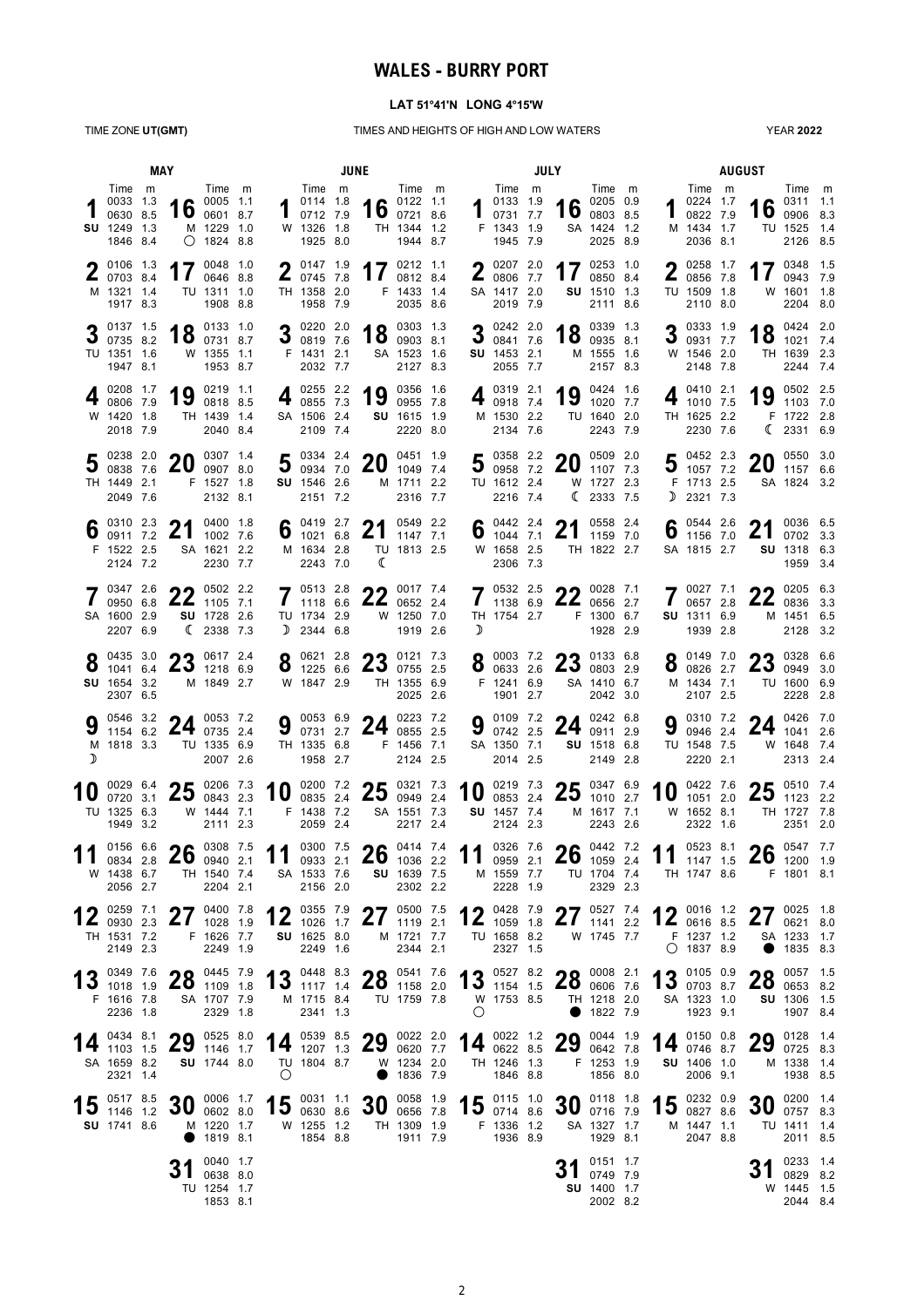## **WALES - BURRY PORT**

### **LAT 51°41'N LONG 4°15'W**

TIME ZONE **UT(GMT)** TIMES AND HEIGHTS OF HIGH AND LOW WATERS

YEAR **2022**

|   |                                                                   | MAY |                                                                      |                                                          | JUNE |             |                                                                         |  |                                                                                              |                                                        |  |                 | JULY                                                         |  |                                                                                                 |                                                                          |  |        |                                                                      | <b>AUGUST</b> |                                      |                                                              |  |  |
|---|-------------------------------------------------------------------|-----|----------------------------------------------------------------------|----------------------------------------------------------|------|-------------|-------------------------------------------------------------------------|--|----------------------------------------------------------------------------------------------|--------------------------------------------------------|--|-----------------|--------------------------------------------------------------|--|-------------------------------------------------------------------------------------------------|--------------------------------------------------------------------------|--|--------|----------------------------------------------------------------------|---------------|--------------------------------------|--------------------------------------------------------------|--|--|
|   | Time m<br>0033 1.3<br>0630 8.5<br>SU 1249 1.3<br>1846 8.4         |     |                                                                      | Time m<br>16 $^{0005}$ 1.1<br>M 1229 1.0<br>$O$ 1824 8.8 |      |             | Time m<br>0114 1.8<br>$\blacksquare$ 0712 7.9<br>W 1326 1.8<br>1925 8.0 |  |                                                                                              | Time m<br>16 $^{0122}$ 1.1<br>TH 1344 1.2<br>1944 8.7  |  |                 | Time m<br>0133 1.9<br>0731 7.7<br>F 1343 1.9<br>1945 7.9     |  |                                                                                                 | Time m<br>$\bullet$ 0205 0.9<br>$10$ 0803 8.5<br>SA 1424 1.2<br>2025 8.9 |  |        | Time m<br>0224 1.7<br>0822 7.9<br>M 1434 1.7<br>2036 8.1             |               |                                      | Time m<br>0311 1.1<br>16 0906 8.3<br>TU 1525 1.4<br>2126 8.5 |  |  |
|   | 0106 1.3<br>0703 8.4<br>M 1321 1.4<br>1917 8.3                    |     |                                                                      | 17 $^{0048}$ 1.0<br>0646 8.8<br>TU 1311 1.0<br>1908 8.8  |      |             | $\bullet$ 0147 1.9<br>$\frac{2}{10745}$ 7.8<br>TH 1358 2.0<br>1958 7.9  |  |                                                                                              | 17 $^{0212}$ 1.1<br>0812 8.4<br>F 1433 1.4<br>2035 8.6 |  |                 | 0207 2.0<br>$\frac{2}{10000}$ 7.7<br>SA 1417 2.0<br>2019 7.9 |  | 17                                                                                              | 0253 1.0<br>0850 8.4<br>SU 1510 1.3<br>2111 8.6                          |  |        | $258$ 1.7<br>$\frac{2}{10856}$ 7.8<br>TU 1509 1.8<br>2110 8.0        |               |                                      | 17 $^{0348}$ $^{1.5}$<br>0943 7.9<br>W 1601 1.8<br>2204 8.0  |  |  |
|   | 0137 1.5<br>0735 8.2<br>TU 1351 1.6<br>1947 8.1                   |     | 18 $^{0133}$ 1.0 $^{0731}$ 8.7                                       | W 1355 1.1<br>1953 8.7                                   |      |             | $3^{0220}$ 2.0<br>0819 7.6<br>F 1431 2.1<br>2032 7.7                    |  |                                                                                              | 18 0303 1.3<br>SA 1523 1.6<br>2127 8.3                 |  | 3               | 0242 2.0<br>0841 7.6<br><b>SU</b> 1453 2.1<br>2055 7.7       |  |                                                                                                 | 18 $^{0339}$ 1.3<br>M 1555 1.6<br>2157 8.3                               |  |        | 3 $\frac{0333}{0931}$ 77<br>0931 7.7<br>W 1546 2.0<br>2148 7.8       |               |                                      | 18 $^{0424}$ $^{2.0}$<br>TH 1639 2.3<br>2244 7.4             |  |  |
|   | 0208 1.7<br>0806 7.9<br>W 1420 1.8<br>2018 7.9                    |     | 19                                                                   | 0219 1.1<br>0818 8.5<br>TH 1439 1.4<br>2040 8.4          |      |             | 0255 2.2<br>4 $0855$ 7.3<br>SA 1506 2.4<br>2109 7.4                     |  | 19                                                                                           | 0356 1.6<br>0955 7.8<br>SU 1615 1.9<br>2220 8.0        |  | 4               | 0319 2.1<br>0918 7.4<br>M 1530 2.2<br>2134 7.6               |  | 19                                                                                              | 0424 1.6<br>1020 7.7<br>TU 1640 2.0<br>2243 7.9                          |  |        | 0410 2.1<br>1010 7.5<br>TH 1625 2.2<br>2230 7.6                      |               |                                      | 0502 2.5<br>19 $^{0502}$ 2.5<br>F 1722 2.8<br>(23316.9       |  |  |
|   | 0238 2.0<br>0838 7.6<br>TH 1449 2.1<br>2049 7.6                   |     | 20                                                                   | 0307 1.4<br>0907 8.0<br>F 1527 1.8<br>2132 8.1           |      |             | 5 $^{0334}$ $^{2.4}$ 7.0<br>SU 1546 2.6<br>2151 7.2                     |  | 20                                                                                           | 0451 1.9<br>1049 7.4<br>M 1711 2.2<br>2316 7.7         |  |                 | TU 1612 2.4<br>2216 7.4                                      |  | 5 0358 2.2 20 0509 2.0                                                                          | W 1727 2.3<br>$\binom{2333}{7.5}$                                        |  |        | $\blacksquare$ 0452 2.3<br>$5.327$ 7.2<br>F 1713 2.5<br>$D$ 2321 7.3 |               | $20^{0550}$ 3.0                      | SA 1824 3.2                                                  |  |  |
| 6 | 0310 2.3<br>0911 7.2<br>F 1522 2.5<br>2124 7.2                    |     | 21                                                                   | 0400 1.8<br>1002 7.6<br>SA 1621 2.2<br>2230 7.7          |      |             | 6 $^{0419}$ 2.7<br>1021 6.8<br>M 1634 2.8<br>2243 7.0                   |  | 21<br>ℂ                                                                                      | 0549 2.2<br>1147 7.1<br>TU 1813 2.5                    |  | 6               | $\bullet$ 0442 2.4<br>W 1658 2.5<br>2306 7.3                 |  | $^{0442}$ 2.4 21                                                                                | 0558 2.4<br>1159 7.0<br>TH 1822 2.7                                      |  |        | 6 $^{0544}_{1156}$ $^{2.6}_{-1}$<br>SA 1815 2.7                      |               | 21                                   | 0036 6.5<br>0702 3.3<br><b>SU</b> 1318 6.3<br>1959 3.4       |  |  |
|   | 0347 2.6<br>0950 6.8<br>SA 1600 2.9<br>2207 6.9                   |     | າາ<br>$22$ 1105 7.1                                                  | 0502 2.2<br>SU 1728 2.6<br>(23387.3)                     |      |             | 7051328<br>1118 6.6<br>TU 1734 2.9<br>$D$ 2344 6.8                      |  | $22$ 0017 7.4                                                                                | $22$ 0652 2.4<br>W 1250 7.0<br>1919 2.6                |  | D               | 7053225<br>1138 6.9<br>TH 1754 2.7                           |  | <b>22</b> 0028 7.1<br>$22$ 0656 2.7                                                             | F 1300 6.7<br>1928 2.9                                                   |  |        | $7^{0027}$ 7.1<br>0657 2.8<br>0657 2.8<br>SU 1311 6.9<br>1939 2.8    |               | າາ                                   | 0205 6.3<br>$22$ 0836 3.3<br>M 1451 6.5<br>2128 3.2          |  |  |
|   | 0435 3.0<br>1041 6.4<br>SU 1654 3.2<br>2307 6.5                   |     | $22$ 0617 2.4<br>$25$ 1218 6.9                                       | M 1849 2.7                                               |      |             | $0.0621$ 2.8<br>$0$ 1225 6.6<br>W 1847 2.9                              |  | $22$ 0121 7.3<br>$25$ 0755 2.5                                                               | TH 1355 6.9<br>2025 2.6                                |  |                 | $0.0003$ 7.2<br>F 1241 6.9<br>1901 2.7                       |  | 8 0003 7.2 23 0133 6.8                                                                          | SA 1410 6.7<br>2042 3.0                                                  |  |        | $Q$ 0149 7.0<br>0826 2.7<br>M 1434 7.1<br>2107 2.5                   |               | $23$ 0328 6.6                        | TU 1600 6.9<br>2228 2.8                                      |  |  |
| ╖ | 0546 3.2<br>M 1818 3.3                                            |     | $^{0546}$ 3.2 <b>24</b> $^{0053}$ 7.2<br>1154 6.2 <b>24</b> 0735 2.4 | TU 1335 6.9<br>2007 2.6                                  |      | a           | 0053 6.9<br>0731 2.7<br>TH 1335 6.8<br>1958 2.7                         |  | 24 $^{0223}$ 7.2                                                                             | F 1456 7.1<br>2124 2.5                                 |  | 9               | 0109 7.2<br>0742 2.5<br>SA 1350 7.1<br>2014 2.5              |  | 24 $^{0242}$ 6.8                                                                                | SU 1518 6.8<br>2149 2.8                                                  |  | Q<br>J | 0310 7.2<br>0946 2.4<br>TU 1548 7.5<br>2220 2.1                      |               |                                      | 0426 7.0<br>24 $^{0426}$ 7.0<br>W 1648 7.4<br>2313 2.4       |  |  |
|   | 0029 6.4<br>0720 3.1<br>TU 1325 6.3<br>1949 3.2                   |     | $25\substack{0206\\0843}$ 2.3                                        | 0843 2.3<br>W 1444 7.1<br>2111 2.3                       |      | 10          | F 1438 7.2<br>2059 2.4                                                  |  | $\frac{0200}{0835}$ $\frac{7.2}{2.4}$ <b>25</b> $\frac{0321}{0949}$ $\frac{7.3}{2.4}$        | SA 1551 7.3<br>2217 2.4                                |  | 10              | SU 1457 7.4<br>2124 2.3                                      |  | $^{0219}$ 7.3 <b>25</b> $^{0347}$ 6.9 $^{0853}$ 2.4 <b>25</b> $^{0347}$ 6.9                     | M 1617 7.1<br>2243 2.6                                                   |  | 10     | 0422 7.6<br>1051 2.0<br>W 1652 8.1<br>2322 1.6                       |               | ク斥<br><b>ZJ</b>                      | 0510 7.4<br>1123 2.2<br>TH 1727 7.8<br>2351 2.0              |  |  |
|   | 0156 6.6<br>0834 2.8<br>W 1438 6.7<br>2056 2.7                    |     | $26$ $^{0308}$ $^{7.5}$ $^{2.5}$                                     | TH 1540 7.4<br>2204 2.1                                  |      | 11 0300 7.5 | SA 1533 7.6<br>2156 2.0                                                 |  | $26^{0414}$ 7.4                                                                              | <b>SU</b> 1639 7.5<br>2302 2.2                         |  | 11              | M 1559 7.7<br>2228 1.9                                       |  | $\frac{0326}{0959}$ $\frac{7.6}{2.1}$ <b>26</b> $\frac{0442}{1059}$ $\frac{7.2}{2.4}$ <b>11</b> | TU 1704 7.4<br>2329 2.3                                                  |  |        | 0523 8.1<br>1147 1.5<br>TH 1747 8.6                                  |               | $26^{0547}$ 7.7                      | F 1801 8.1                                                   |  |  |
|   | TH 1531 7.2<br>2149 2.3                                           |     | 12 $^{0259}$ 7.1 27 $^{0400}$ 7.8                                    | F 1626 7.7<br>2249 1.9                                   |      |             | SU 1625 8.0<br>2249 1.6                                                 |  | 12 0355 7.9 27 0500 7.5                                                                      | M 1721 7.7<br>2344 2.1                                 |  |                 | 2327 1.5                                                     |  | 12 0428 7.9 27 0527 7.4<br>TU 1658 8.2 W 1745 7.7                                               |                                                                          |  |        | F 1237 1.2<br>$O$ 1837 8.9                                           |               | 12 0016 1.2 27 0025 1.8<br>$\bullet$ | SA 1233 1.7<br>1835 8.3                                      |  |  |
|   | F 1616 7.8<br>2236 1.8                                            |     | <b>20</b> 0445 7.9                                                   | SA 1707 7.9<br>2329 1.8                                  |      |             | M 1715 8.4<br>2341 1.3                                                  |  | 13 0349 7.6 28 0445 7.9 13 0448 8.3 28 0541 7.6<br>TU 1759 7.8                               |                                                        |  | W 1753 8.5<br>O |                                                              |  | 13 0527 8.2 28 0008 2.1                                                                         | TH 1218 2.0<br>$\bullet$ 1822 7.9                                        |  |        | 13 0105 0.9<br>SA 1323 1.0<br>1923 9.1                               |               | 20<br>$20$ 0653 8.2                  | 0057 1.5<br>SU 1306 1.5<br>1907 8.4                          |  |  |
|   | 0434 8.1<br>$14$ $\frac{12}{1103}$ 1.5<br>SA 1659 8.2<br>2321 1.4 |     | 29 $^{0525}$ 8.0                                                     | SU 1744 8.0                                              |      | $\circ$     | TU 1804 8.7                                                             |  | 14 0539 8.5 29 0022 2.0                                                                      | W 1234 2.0<br>● 1836 7.9                               |  |                 | TH 1246 1.3<br>1846 8.8                                      |  | 14 0022 1.2 29 0044 1.9                                                                         | F 1253 1.9<br>1856 8.0                                                   |  |        | 14 $^{0150}$ 0.8<br>SU 1406 1.0<br>2006 9.1                          |               | 29 0128 1.4                          | M 1338 1.4<br>1938 8.5                                       |  |  |
|   | 0517 8.5<br>$15$ $1146$ $1.2$<br>SU 1741 8.6                      |     | $30^{0006}$ 1.7                                                      | M 1220 1.7<br>$\bullet$ 1819 8.1                         |      |             | W 1255 1.2<br>1854 8.8                                                  |  | $\frac{0006}{0602}$ 8.0 15 $\frac{0031}{0630}$ 8.6 30 $\frac{0058}{0656}$ 7.8<br>TH 1309 1.9 | 1911 7.9                                               |  | F 1336 1.2      | 1936 8.9                                                     |  | 15 0115 1.0 30 0118 1.8                                                                         | SA 1327 1.7<br>1929 8.1                                                  |  |        | 15 0232 0.9<br>M 1447 1.1<br>2047 8.8                                |               |                                      | 0200 1.4<br>$30^{0200}$ 1.4<br>TU 1411 1.4<br>2011 8.5       |  |  |
|   |                                                                   |     |                                                                      | 0040 1.7<br>$J \mid 063880$<br>TU 1254 1.7<br>1853 8.1   |      |             |                                                                         |  |                                                                                              |                                                        |  |                 |                                                              |  |                                                                                                 | 0151 1.7<br>$J1$ 0749 7.9<br>SU 1400 1.7<br>2002 8.2                     |  |        |                                                                      |               | J L                                  | 0233 1.4<br>0829 8.2<br>W 1445 1.5<br>2044 8.4               |  |  |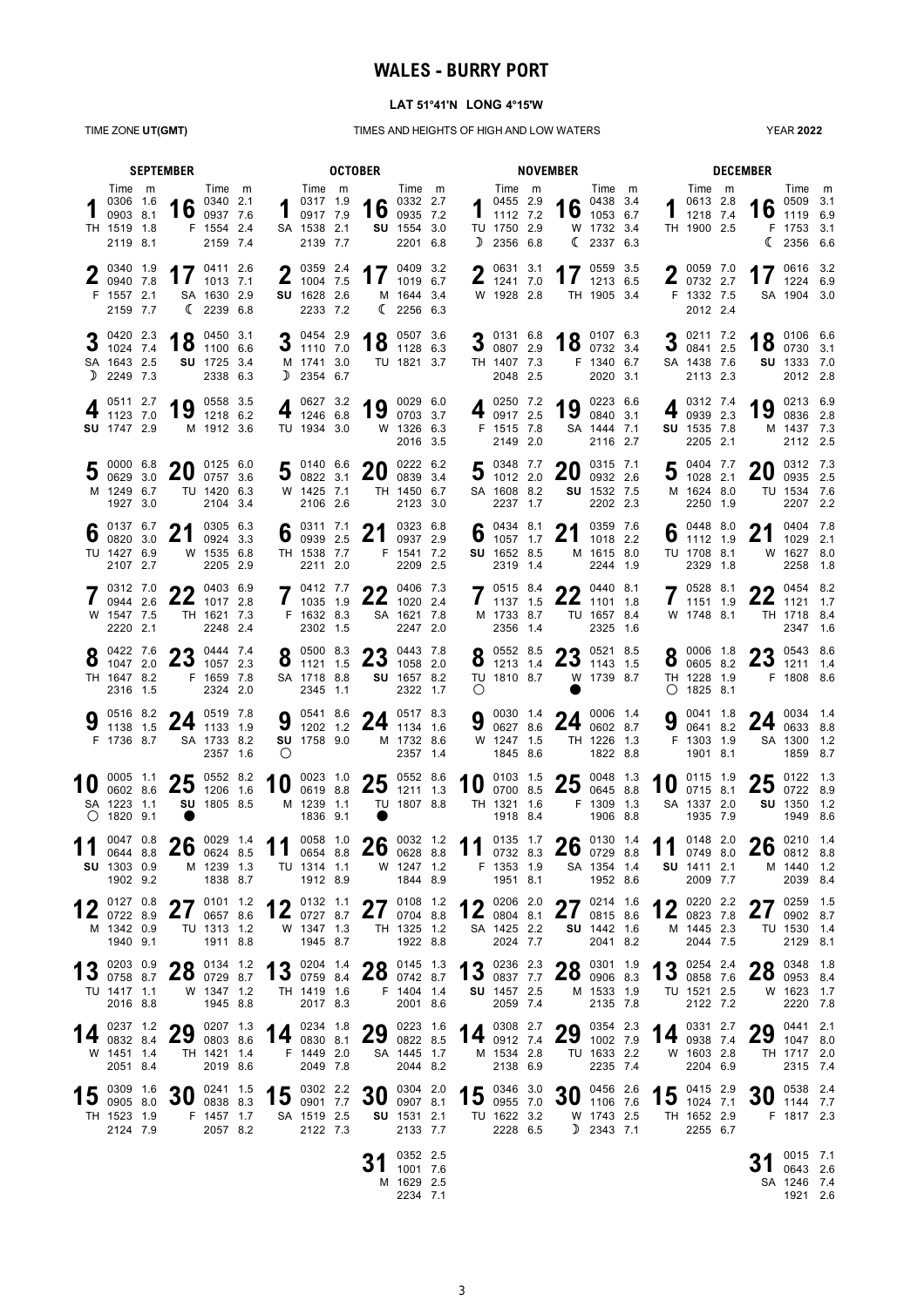## **WALES - BURRY PORT**

### **LAT 51°41'N LONG 4°15'W**

TIME ZONE **UT(GMT)** TIMES AND HEIGHTS OF HIGH AND LOW WATERS

YEAR **2022**

| <b>SEPTEMBER</b> |                                                                     |  |                                                               | <b>OCTOBER</b>                                                 |  |                                                 |                                                                                                                       |  |                                                      |                                                            | <b>NOVEMBER</b> |                           |                                                                                 |  |                        |                                                       |  |    | <b>DECEMBER</b>                                                   |                                             |                                                                          |  |
|------------------|---------------------------------------------------------------------|--|---------------------------------------------------------------|----------------------------------------------------------------|--|-------------------------------------------------|-----------------------------------------------------------------------------------------------------------------------|--|------------------------------------------------------|------------------------------------------------------------|-----------------|---------------------------|---------------------------------------------------------------------------------|--|------------------------|-------------------------------------------------------|--|----|-------------------------------------------------------------------|---------------------------------------------|--------------------------------------------------------------------------|--|
|                  | Time m<br>0306 1.6<br>0903 8.1<br>TH 1519 1.8<br>2119 8.1           |  |                                                               | Time m<br>16 $^{0340}$ $^{2.1}$<br>F 1554 2.4<br>2159 7.4      |  |                                                 | Time m<br>$\begin{array}{ccc} 1 & 0 & 0 & 0 \\ 0 & 0 & 0 & 0 \\ 0 & 0 & 0 & 0 \end{array}$<br>SA 1538 2.1<br>2139 7.7 |  |                                                      | Time m<br>16 $^{0332}$ $^{2.7}$<br>SU 1554 3.0<br>2201 6.8 |                 | D                         | Time m<br>$1^{0455}$ 2.9<br>1112 7.2<br>TU 1750 2.9<br>2356 6.8                 |  |                        | Time m<br>16 $^{0438}$ 3.4<br>W 1732 3.4<br>(23376.3) |  |    | Time m<br>0613 2.8<br>1218 7.4<br>TH 1900 2.5                     |                                             | Time m<br>$\bullet$ 0509 3.1<br>16 $0509$ 3.1<br>F 1753 3.1<br>(235666.6 |  |
|                  | 0340 1.9<br>$\frac{2}{10940}$ 7.8<br>F 1557 2.1<br>2159 7.7         |  |                                                               | 17 $^{0411}$ 2.6<br>SA 1630 2.9<br>(22396.8)                   |  |                                                 | $\bigcap$ 0359 2.4<br>210047.5<br>SU 1628 2.6<br>2233 7.2                                                             |  |                                                      | 17 $^{0409}$ 3.2<br>M 1644 3.4<br>(2256 6.3)               |                 | n                         | 0631 3.1<br>$\frac{1}{2}$ 1241 7.0<br>W 1928 2.8                                |  |                        | 17 $^{0559}$ 3.5<br>TH 1905 3.4                       |  |    | $\bullet$ 0059 7.0<br>20732227<br>F 1332 7.5<br>2012 2.4          |                                             | 17 $^{0616}$ 3.2<br>SA 1904 3.0                                          |  |
|                  | 0420 2.3<br>$3\frac{1024}{74}$<br>SA 1643 2.5<br>D 2249 7.3         |  |                                                               | 0450 3.1<br>$18$ $^{0450}$ $^{3.1}$<br>SU 1725 3.4<br>2338 6.3 |  |                                                 | 3 $\frac{0454}{1110}$ 7.0<br>M 1741 3.0<br>$D$ 2354 6.7                                                               |  |                                                      | 4 0 0507 3.6<br>$10$ 1128 6.3<br>TU 1821 3.7               |                 |                           | 3 $\frac{0131}{0807}$ $\frac{6.8}{2.9}$<br>TH 1407 7.3<br>2048 2.5              |  | 18 $^{0107}$ 6.3       | F 1340 6.7<br>2020 3.1                                |  |    | 3 $^{0211}$ 7.2<br>0841 2.5<br>SA 1438 7.6<br>2113 2.3            |                                             | 18 $^{0106}$ 6.6<br>SU 1333 7.0<br>2012 2.8                              |  |
|                  | 0511 2.7<br>1123 7.0<br>SU 1747 2.9                                 |  |                                                               | 0558 3.5<br>$19$ $^{0558}$ 3.5<br>M 1912 3.6                   |  |                                                 | 0627 3.2<br>$4\frac{0627}{1246}$ 6.8<br>TU 1934 3.0                                                                   |  |                                                      | 19 0029 6.0<br>W 1326 6.3<br>2016 3.5                      |                 |                           | 4 $^{0250}$ 7.2<br>0917 2.5<br>F 1515 7.8<br>2149 2.0                           |  | 19                     | 0223 6.6<br>0840 3.1<br>SA 1444 7.1<br>2116 2.7       |  |    | 0312 7.4<br>0939 2.3<br>SU 1535 7.8<br>2205 2.1                   | 19                                          | 0213 6.9<br>0836 2.8<br>M 1437 7.3<br>2112 2.5                           |  |
|                  | 0000 6.8<br>30062930<br>M 1249 6.7<br>1927 3.0                      |  | ററ<br>ZU                                                      | 0125 6.0<br>0757 3.6<br>TU 1420 6.3<br>2104 3.4                |  |                                                 | 5 $^{0140}$ 6.6<br>5 $^{0140}$ 6.6<br>W 1425 7.1<br>2106 2.6                                                          |  | <u>_ິດເ</u><br>ZU                                    | 0222 6.2<br>0839 3.4<br>TH 1450 6.7<br>2123 3.0            |                 |                           | $5^{0348}$ 7.7<br>31101220<br>SA 1608 8.2<br>2237 1.7                           |  | 20                     | 0315 7.1<br>0932 2.6<br>SU 1532 7.5<br>2202 2.3       |  |    | 0404 7.7<br>5 $^{0404}$ 7.7<br>1028 2.1<br>M 1624 8.0<br>2250 1.9 | nn.<br>20                                   | 0312 7.3<br>0935 2.5<br>TU 1534 7.6<br>2207 2.2                          |  |
|                  | $\int_{0}^{0137}$ 6.7<br>TU 1427 6.9<br>2107 2.7                    |  | 21                                                            | 0305 6.3<br>0924 3.3<br>W 1535 6.8<br>2205 2.9                 |  |                                                 | 6 $^{0311}$ 7.1<br>TH 1538 7.7<br>2211 2.0                                                                            |  | 21                                                   | 0323 6.8<br>0937 2.9<br>F 1541 7.2<br>2209 2.5             |                 |                           | 6 $^{0434}$ 8.1<br>1057 1.7<br>SU 1652 8.5<br>2319 1.4                          |  | 21                     | 0359 7.6<br>1018 2.2<br>M 1615 8.0<br>2244 1.9        |  |    | 6 $\frac{0448}{1112}$ 1.9<br>1112 1.9<br>TU 1708 8.1<br>2329 1.8  | 21                                          | 0404 7.8<br>1029 2.1<br>W 1627 8.0<br>2258 1.8                           |  |
|                  | 0312 7.0<br>0944 2.6<br>W 1547 7.5<br>2220 2.1                      |  | 22 $^{0403}$ $^{6.9}$                                         | TH 1621 7.3<br>2248 2.4                                        |  |                                                 | 0412 7.7<br>1035 1.9<br>F 1632 8.3<br>2302 1.5                                                                        |  |                                                      | 22 $^{0406}$ 7.3<br>SA 1621 7.8<br>2247 2.0                |                 |                           | $7^{0515}_{1137}$ 15<br>1137 1.5<br>M 1733 8.7<br>2356 1.4                      |  | $22^{0440}$ 8.1        | TU 1657 8.4<br>2325 1.6                               |  |    | 7 0528 8.1<br>W 1748 8.1                                          |                                             | 0454 8.2<br>$22^{0454}$ 8.2<br>TH 1718 8.4<br>2347 1.6                   |  |
|                  | $\bullet$ 0422 7.6<br>$\bullet$ 1047 2.0<br>TH 1647 8.2<br>2316 1.5 |  |                                                               | 22.1<br>$23_{10572.3}$<br>F 1659 7.8<br>2324 2.0               |  |                                                 | $8^{0500}$ 8.3<br>1121 1.5<br>SA 1718 8.8<br>2345 1.1                                                                 |  | $\mathbf{2.3}$ 1058 2.0                              | 22.8<br>SU 1657 8.2<br>2322 1.7                            |                 | O                         | <b>8</b> $\begin{matrix} 0.552 & 8.5 \\ 1213 & 1.4 \end{matrix}$<br>TU 1810 8.7 |  | $23$ 1143 1.5          | 22.85<br>W 1739 8.7                                   |  | Ō  | $0.0006$ 1.8<br>0605 8.2<br>TH 1228 1.9<br>$O$ 1825 8.1           |                                             | 22.6<br>$23$ 1211 1.4<br>F 1808 8.6                                      |  |
|                  | F 1736 8.7                                                          |  | 9 $\frac{0516}{1138}$ 1.5 <b>24</b> $\frac{0519}{1133}$ 1.9   | SA 1733 8.2<br>2357 1.6                                        |  | $\bigcirc$                                      | SU 1758 9.0                                                                                                           |  | 9 $\frac{0541}{1202}$ 1.2 24 $\frac{0517}{1134}$ 1.6 | M 1732 8.6<br>2357 1.4                                     |                 |                           | W 1247 1.5<br>1845 8.6                                                          |  | 9 0030 1.4 24 0006 1.4 | TH 1226 1.3<br>1822 8.8                               |  | 9  | 0041 1.8<br>0641 8.2<br>F 1303 1.9<br>1901 8.1                    |                                             | 24 $^{0034}$ $^{1.4}$ 0633 8.8<br>SA 1300 1.2<br>1859 8.7                |  |
|                  | SA 1223 1.1<br>$O$ 1820 9.1                                         |  | 0005 1.1 <b>25</b> 0552 8.2 0602 8.6 <b>25</b> 1206 1.6       | SU 1805 8.5                                                    |  | 10                                              | 0023 1.0<br>M 1239 1.1<br>1836 9.1                                                                                    |  | 0023 1.0 25 0552 8.6                                 | TU 1807 8.8                                                |                 |                           | 10 $^{0103}$ $^{1.5}_{0700}$ 8.5<br>0700 8.5<br>TH 1321 1.6<br>1918 8.4         |  | 25 $^{0048}$ 1.3       | F 1309 1.3<br>1906 8.8                                |  | 10 | 0115 1.9<br>0715 8.1<br>SA 1337 2.0<br>1935 7.9                   | ク斥<br><b>Z5</b>                             | 0122 1.3<br>0722 8.9<br>SU 1350 1.2<br>1949 8.6                          |  |
|                  | <b>SU</b> 1303 0.9<br>1902 9.2                                      |  | $\frac{0.047}{0.644}$ 8.8 <b>26</b> $\frac{0.029}{0.624}$ 8.5 | M 1239 1.3<br>1838 8.7                                         |  | 11 0058 1.0 26 0032 1.2 11 0135 1.7 26 0130 1.4 | TU 1314 1.1<br>1912 8.9                                                                                               |  |                                                      | W 1247 1.2<br>1844 8.9                                     |                 |                           | F 1353 1.9<br>1951 8.1                                                          |  |                        | SA 1354 1.4<br>1952 8.6                               |  |    | SU 1411 2.1<br>2009 7.7                                           | 11 $^{0148}$ $^{2.0}$ 26 $^{0210}$ $^{1.4}$ | M 1440 1.2<br>2039 8.4                                                   |  |
|                  | 0127 0.8<br>$12$ 0722 8.9<br>M 1342 0.9<br>1940 9.1                 |  | 21                                                            | 2701112<br>0657 8.6<br>TU 1313 1.2<br>1911 8.8                 |  |                                                 | $12$ 0132 1.1<br>$12$ 0727 8.7<br>W 1347 1.3<br>1945 8.7                                                              |  | $\mathbf{Z}$                                         | 77010812<br>0704 8.8<br>TH 1325 1.2<br>1922 8.8            |                 |                           | $4 \bullet 0206 2.0$<br>$12$ 0804 8.1<br>SA 1425 2.2<br>2024 7.7                |  | 27 $^{0214}$ 1.6       | SU 1442 1.6<br>2041 8.2                               |  |    | 0220 2.2<br>12 $^{0220}$ 2.2<br>M 1445 2.3<br>2044 7.5            | 67<br>$\mathbf{Z}$                          | 0259 1.5<br>0902 8.7<br>TU 1530 1.4<br>2129 8.1                          |  |
|                  | 13 0203 0.9<br>TU 1417 1.1<br>2016 8.8                              |  |                                                               | $20$ 0134 1.2<br>$20$ 0729 8.7<br>W 1347 1.2<br>1945 8.8       |  |                                                 | 1 2 0204 1.4<br>TH 1419 1.6<br>2017 8.3                                                                               |  | <b>13</b> 0759 8.4 $\bf{20}$ 0742 8.7                | $22^{\frac{0145}{1.3}}$<br>F 1404 1.4<br>2001 8.6          |                 |                           | 13 0236 2.3<br>SU 1457 2.5<br>2059 7.4                                          |  | $28^{0301}$ 1.9        | M 1533 1.9<br>2135 7.8                                |  |    | 13 0254 2.4<br>TU 1521 2.5<br>2122 7.2                            |                                             | 22 0348 1.8<br>$20$ 0953 8.4<br>W 1623 1.7<br>2220 7.8                   |  |
| 14               | 0237 1.2<br>0832 8.4<br>W 1451 1.4<br>2051 8.4                      |  |                                                               | 29 0803 8.6<br>TH 1421 1.4<br>2019 8.6                         |  |                                                 | F 1449 2.0<br>2049 7.8                                                                                                |  | 14 $^{0234}$ 1.8 29 $^{0223}$ 1.6                    | SA 1445 1.7<br>2044 8.2                                    |                 |                           | 0308 2.7<br>14 $^{0308}$ 2.7<br>M 1534 2.8<br>2138 6.9                          |  | 29 $^{0354}$ $^{2.3}$  | TU 1633 2.2<br>2235 7.4                               |  |    | 0331 2.7<br>14 $^{0331}$ 2.7<br>W 1603 2.8<br>2204 6.9            |                                             | 0441 2.1<br>$29^{0441}$ $2.1$<br>1047 8.0<br>TH 1717 2.0<br>2315 7.4     |  |
|                  | 15 $_{0.905}^{0.309}$ 1.6<br>TH 1523 1.9<br>2124 7.9                |  | 30                                                            | 0241 1.5<br>0838 8.3<br>F 1457 1.7<br>2057 8.2                 |  |                                                 | 15 $^{0302}$ 2.2<br>0901 7.7<br>SA 1519 2.5<br>2122 7.3                                                               |  | 30                                                   | 0304 2.0<br>0907 8.1<br>SU 1531 2.1<br>2133 7.7            |                 | 15 $^{0346}$ 3.0 0955 7.0 | TU 1622 3.2<br>2228 6.5                                                         |  | $30^{0456}$ 2.6        | 0456 2.6<br>W 1743 2.5<br>$D$ 2343 7.1                |  |    | 15 $^{0415}$ 2.9<br>TH 1652 2.9<br>2255 6.7                       |                                             | 0538 2.4<br>$30^{0538}$ 2.4<br>F 1817 2.3                                |  |
|                  |                                                                     |  |                                                               |                                                                |  |                                                 |                                                                                                                       |  | 31                                                   | 0352 2.5<br>1001 7.6<br>M 1629 2.5<br>2234 7.1             |                 |                           |                                                                                 |  |                        |                                                       |  |    |                                                                   |                                             | 0015 7.1<br>0643 2.6<br>SA 1246 7.4<br>1921 2.6                          |  |